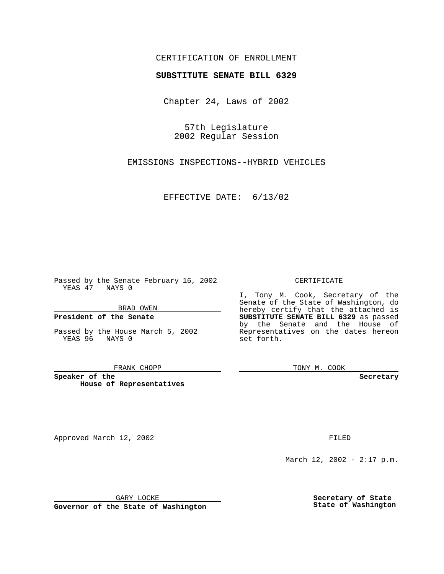## CERTIFICATION OF ENROLLMENT

# **SUBSTITUTE SENATE BILL 6329**

Chapter 24, Laws of 2002

57th Legislature 2002 Regular Session

EMISSIONS INSPECTIONS--HYBRID VEHICLES

EFFECTIVE DATE: 6/13/02

Passed by the Senate February 16, 2002 YEAS 47 NAYS 0

BRAD OWEN

### **President of the Senate**

Passed by the House March 5, 2002 YEAS 96 NAYS 0

#### FRANK CHOPP

**Speaker of the House of Representatives**

Approved March 12, 2002 **FILED** 

#### CERTIFICATE

I, Tony M. Cook, Secretary of the Senate of the State of Washington, do hereby certify that the attached is **SUBSTITUTE SENATE BILL 6329** as passed by the Senate and the House of Representatives on the dates hereon set forth.

TONY M. COOK

**Secretary**

March 12, 2002 - 2:17 p.m.

GARY LOCKE

**Governor of the State of Washington**

**Secretary of State State of Washington**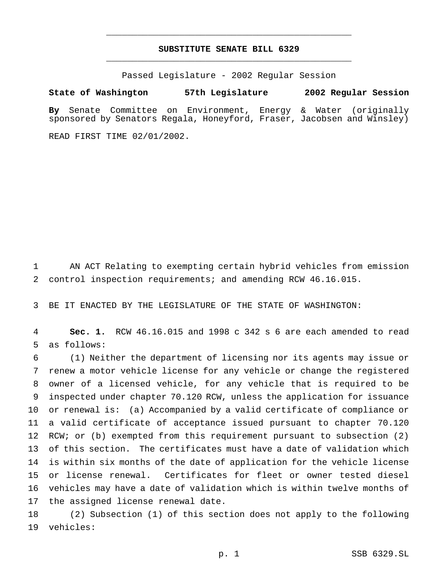# **SUBSTITUTE SENATE BILL 6329** \_\_\_\_\_\_\_\_\_\_\_\_\_\_\_\_\_\_\_\_\_\_\_\_\_\_\_\_\_\_\_\_\_\_\_\_\_\_\_\_\_\_\_\_\_\_\_

\_\_\_\_\_\_\_\_\_\_\_\_\_\_\_\_\_\_\_\_\_\_\_\_\_\_\_\_\_\_\_\_\_\_\_\_\_\_\_\_\_\_\_\_\_\_\_

Passed Legislature - 2002 Regular Session

**State of Washington 57th Legislature 2002 Regular Session**

**By** Senate Committee on Environment, Energy & Water (originally sponsored by Senators Regala, Honeyford, Fraser, Jacobsen and Winsley)

READ FIRST TIME 02/01/2002.

 AN ACT Relating to exempting certain hybrid vehicles from emission control inspection requirements; and amending RCW 46.16.015.

BE IT ENACTED BY THE LEGISLATURE OF THE STATE OF WASHINGTON:

 **Sec. 1.** RCW 46.16.015 and 1998 c 342 s 6 are each amended to read as follows:

 (1) Neither the department of licensing nor its agents may issue or renew a motor vehicle license for any vehicle or change the registered owner of a licensed vehicle, for any vehicle that is required to be inspected under chapter 70.120 RCW, unless the application for issuance or renewal is: (a) Accompanied by a valid certificate of compliance or a valid certificate of acceptance issued pursuant to chapter 70.120 12 RCW; or (b) exempted from this requirement pursuant to subsection (2) of this section. The certificates must have a date of validation which is within six months of the date of application for the vehicle license or license renewal. Certificates for fleet or owner tested diesel vehicles may have a date of validation which is within twelve months of the assigned license renewal date.

 (2) Subsection (1) of this section does not apply to the following vehicles: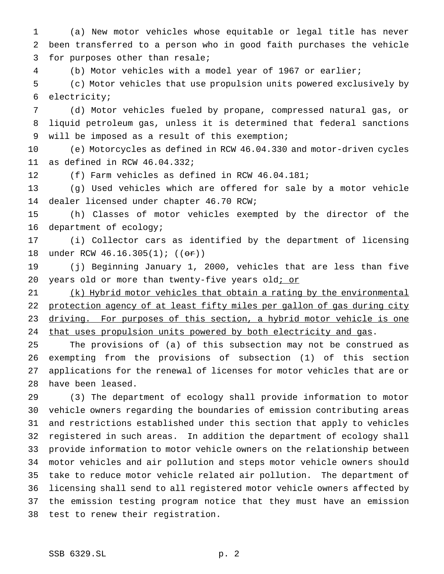(a) New motor vehicles whose equitable or legal title has never been transferred to a person who in good faith purchases the vehicle for purposes other than resale;

(b) Motor vehicles with a model year of 1967 or earlier;

 (c) Motor vehicles that use propulsion units powered exclusively by electricity;

 (d) Motor vehicles fueled by propane, compressed natural gas, or liquid petroleum gas, unless it is determined that federal sanctions will be imposed as a result of this exemption;

 (e) Motorcycles as defined in RCW 46.04.330 and motor-driven cycles as defined in RCW 46.04.332;

(f) Farm vehicles as defined in RCW 46.04.181;

 (g) Used vehicles which are offered for sale by a motor vehicle dealer licensed under chapter 46.70 RCW;

 (h) Classes of motor vehicles exempted by the director of the department of ecology;

 (i) Collector cars as identified by the department of licensing 18 under RCW 46.16.305(1); ((or))

 (j) Beginning January 1, 2000, vehicles that are less than five 20 years old or more than twenty-five years old; or

21 (k) Hybrid motor vehicles that obtain a rating by the environmental 22 protection agency of at least fifty miles per gallon of gas during city 23 driving. For purposes of this section, a hybrid motor vehicle is one 24 that uses propulsion units powered by both electricity and gas.

 The provisions of (a) of this subsection may not be construed as exempting from the provisions of subsection (1) of this section applications for the renewal of licenses for motor vehicles that are or have been leased.

 (3) The department of ecology shall provide information to motor vehicle owners regarding the boundaries of emission contributing areas and restrictions established under this section that apply to vehicles registered in such areas. In addition the department of ecology shall provide information to motor vehicle owners on the relationship between motor vehicles and air pollution and steps motor vehicle owners should take to reduce motor vehicle related air pollution. The department of licensing shall send to all registered motor vehicle owners affected by the emission testing program notice that they must have an emission test to renew their registration.